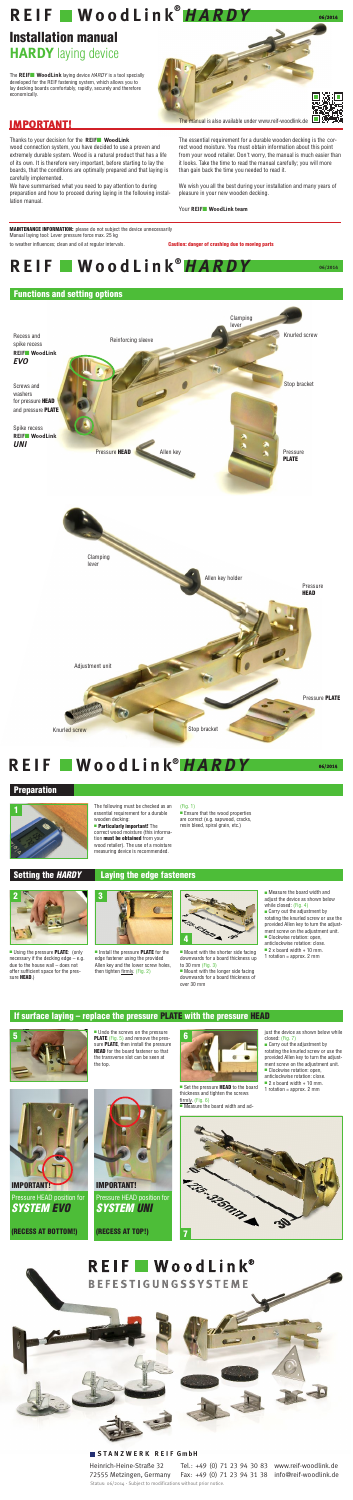### Installation manual **HARDY** laying device

The **REIF**■ **WoodLink** laying device *HARDY* is a tool specially developed for the REIF fastening system, which allows you to lay decking boards comfortably, rapidly, securely and therefore economically.

Thanks to your decision for the **REIF**■ **WoodLink** wood connection system, you have decided to use a proven and extremely durable system. Wood is a natural product that has a life of its own. It is therefore very important, before starting to lay the boards, that the conditions are optimally prepared and that laying is carefully implemented.

We have summarised what you need to pay attention to during preparation and how to proceed during laying in the following installation manual.



■ Install the pressure **PLATE** for the edge fastener using the provided Allen key and the lower screw holes, then tighten firmly. (Fig. 2)

The essential requirement for a durable wooden decking is the correct wood moisture. You must obtain information about this point from your wood retailer. Don't worry, the manual is much easier than it looks. Take the time to read the manual carefully; you will more than gain back the time you needed to read it.

We wish you all the best during your installation and many years of pleasure in your new wooden decking.

- while closed: (Fig. 4)
- Carry out the adjustment by
- rotating the knurled screw or use the provided Allen key to turn the adjust-
- ment screw on the adjustment unit. Clockwise rotation: open,
- anticlockwise rotation: close. 2 x board width + 10 mm.
- 1 rotation = approx. 2 mm

#### Your **REIF**■ **WoodLink team**

**MAINTENANCE INFORMATION:** please do not subject the device unnecessarily Manual laying tool: Lever pressure force max. 25 kg to weather influences; clean and oil at regular intervals. **Caution: danger of crushing due to moving parts** 

# **REIF WoodLink**<sup>®</sup> *HARDY* 66/2014



■ Mount with the longer side facing downwards for a board thickness of over 30 mm



■ Set the pressure **HEAD** to the board thickness and tighten the screws firmly. (Fig. 6) ■ Measure the board width and ad-

The following must be checked as an essential requirement for a durable wooden decking: ■ Particularly important! The



■ Mount with the shorter side facing downwards for a board thickness up to 30 mm (Fig. 3)

correct wood moisture (this information **must be obtained** from your wood retailer). The use of a moisture measuring device is recommended.

- Carry out the adjustment by rotating the knurled screw or use the provided Allen key to turn the adjustment screw on the adjustment unit.
- Clockwise rotation: open,
- anticlockwise rotation: close.  $= 2 \times$  board width + 10 mm.
- 1 rotation = approx. 2 mm

#### (Fig. 1)

■ Ensure that the wood properties are correct (e.g. sapwood, cracks, resin bleed, spiral grain, etc.)



#### Setting the *Hardy* Laying the edge fasteners



**■ Using the pressure PLATE:** (only necessary if the decking edge – e.g. due to the house wall – does not offer sufficient space for the pressure **HEAD**.)

> ■ Undo the screws on the pressure sure PLATE, then install the pressure **HEAD** for the board fastener so that the transverse slot can be seen at the top.



just the device as shown below while closed: (Fig. 7)



### REIF WoodLink<sup>®</sup> *HARDY* 66/2014

#### **Preparation**



#### If surface laying – replace the pressure PLATE with the pressure HEAD





**BEFESTIGUNGSSYSTEME** 

(recess at bottom!)

### Pressure HEAD position for *System EVO* IMPORTANT! IMPORTANT!



*System Uni*

(recess at top!)

#### **St a n z wer k R eif G m b H**  Heinrich-Heine-Straße 32

www.reif-woodlink.de

72555 Metzingen, Germany Tel.: +49 (0) 71 23 94 30 83 Fax: +49 (0) 71 23 94 31 38 info@reif-woodlink.de Status: 06/2014 - Subject to modifications without prior notice.

## **REIF WoodLink** *HAR D Y* **06/2014** ®